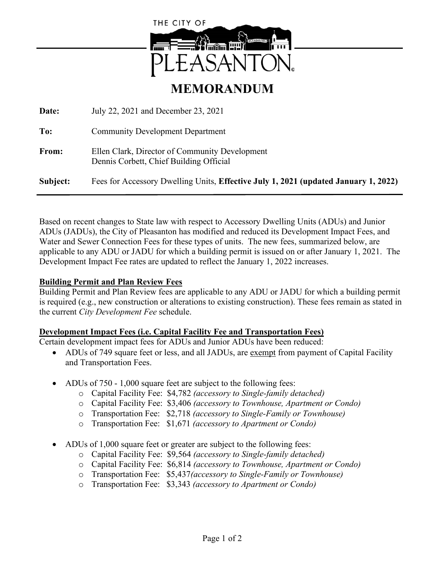

# **MEMORANDUM**

**Date:** July 22, 2021 and December 23, 2021 **To:** Community Development Department **From:** Ellen Clark, Director of Community Development Dennis Corbett, Chief Building Official **Subject:** Fees for Accessory Dwelling Units, **Effective July 1, 2021 (updated January 1, 2022)**

Based on recent changes to State law with respect to Accessory Dwelling Units (ADUs) and Junior ADUs (JADUs), the City of Pleasanton has modified and reduced its Development Impact Fees, and Water and Sewer Connection Fees for these types of units. The new fees, summarized below, are applicable to any ADU or JADU for which a building permit is issued on or after January 1, 2021. The Development Impact Fee rates are updated to reflect the January 1, 2022 increases.

#### **Building Permit and Plan Review Fees**

Building Permit and Plan Review fees are applicable to any ADU or JADU for which a building permit is required (e.g., new construction or alterations to existing construction). These fees remain as stated in the current *City Development Fee* schedule.

#### **Development Impact Fees (i.e. Capital Facility Fee and Transportation Fees)**

Certain development impact fees for ADUs and Junior ADUs have been reduced:

- ADUs of 749 square feet or less, and all JADUs, are exempt from payment of Capital Facility and Transportation Fees.
- ADUs of 750 1,000 square feet are subject to the following fees:
	- o Capital Facility Fee: \$4,782 *(accessory to Single-family detached)*
	- o Capital Facility Fee: \$3,406 *(accessory to Townhouse, Apartment or Condo)*
	- o Transportation Fee: \$2,718 *(accessory to Single-Family or Townhouse)*
	- o Transportation Fee: \$1,671 *(accessory to Apartment or Condo)*
- ADUs of 1,000 square feet or greater are subject to the following fees:
	- o Capital Facility Fee: \$9,564 *(accessory to Single-family detached)*
	- o Capital Facility Fee: \$6,814 *(accessory to Townhouse, Apartment or Condo)*
	- o Transportation Fee: \$5,437*(accessory to Single-Family or Townhouse)*
	- o Transportation Fee: \$3,343 *(accessory to Apartment or Condo)*